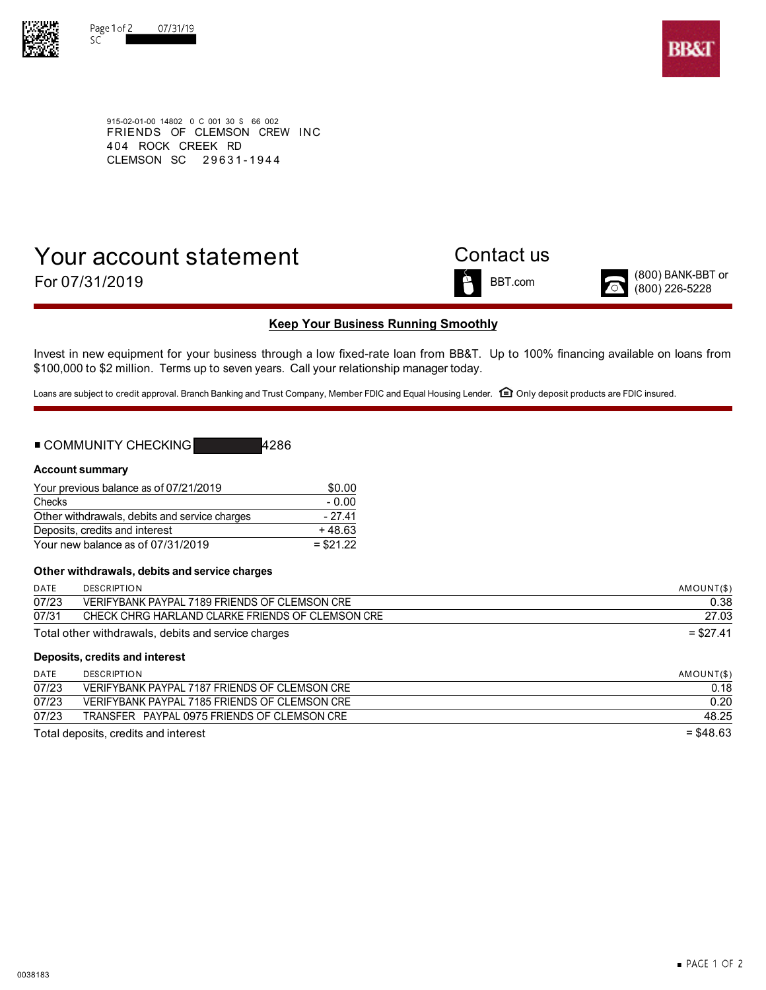



915-02-01-00 14802 0 C 001 30 S 66 002 FRIENDS OF CLEMSON CREW INC 4 04 ROCK CREEK RD CLEMSON SC 29631-194 4

# Your account statement Contact us For  $07/31/2019$   $\bullet$  BBT.com  $\bullet$  (800) BANK-BBT or  $(800)$  BANK-BBT or



## **Keep Your Business Running Smoothly**

Invest in new equipment for your business through a low fixed-rate loan from BB&T. Up to 100% financing available on loans from \$100,000 to \$2 million. Terms up to seven years. Call your relationship manager today.

Loans are subject to credit approval. Branch Banking and Trust Company, Member FDIC and Equal Housing Lender. □ Only deposit products are FDIC insured.

| ■ COMMUNITY CHECKING | ≸4286 |
|----------------------|-------|
|----------------------|-------|

### **Account summary**

| Your previous balance as of 07/21/2019        | \$0.00     |
|-----------------------------------------------|------------|
| Checks                                        | $-0.00$    |
| Other withdrawals, debits and service charges | $-27.41$   |
| Deposits, credits and interest                | $+48.63$   |
| Your new balance as of 07/31/2019             | $= $21.22$ |

### **Other withdrawals, debits and service charges**

| <b>DATE</b> | <b>DESCRIPTION</b>                                  | AMOUNT(\$) |
|-------------|-----------------------------------------------------|------------|
| 07/23       | VERIFYBANK PAYPAL 7189 FRIENDS OF CLEMSON CRE       | 0.38       |
| 07/31       | CHECK CHRG HARLAND CLARKE FRIENDS OF CLEMSON CRE    | 27.03      |
|             | Total other withdrawals, debits and service charges | $= $27.41$ |
|             | Deposits, credits and interest                      |            |

| DATE  | <b>DESCRIPTION</b>                            | AMOUNT(\$)  |
|-------|-----------------------------------------------|-------------|
| 07/23 | VERIFYBANK PAYPAL 7187 FRIENDS OF CLEMSON CRE | 0.18        |
| 07/23 | VERIFYBANK PAYPAL 7185 FRIENDS OF CLEMSON CRE | 0.20        |
| 07/23 | TRANSFER PAYPAL 0975 FRIENDS OF CLEMSON CRE   | 48.25       |
|       | Total deposits, credits and interest          | $=$ \$48.63 |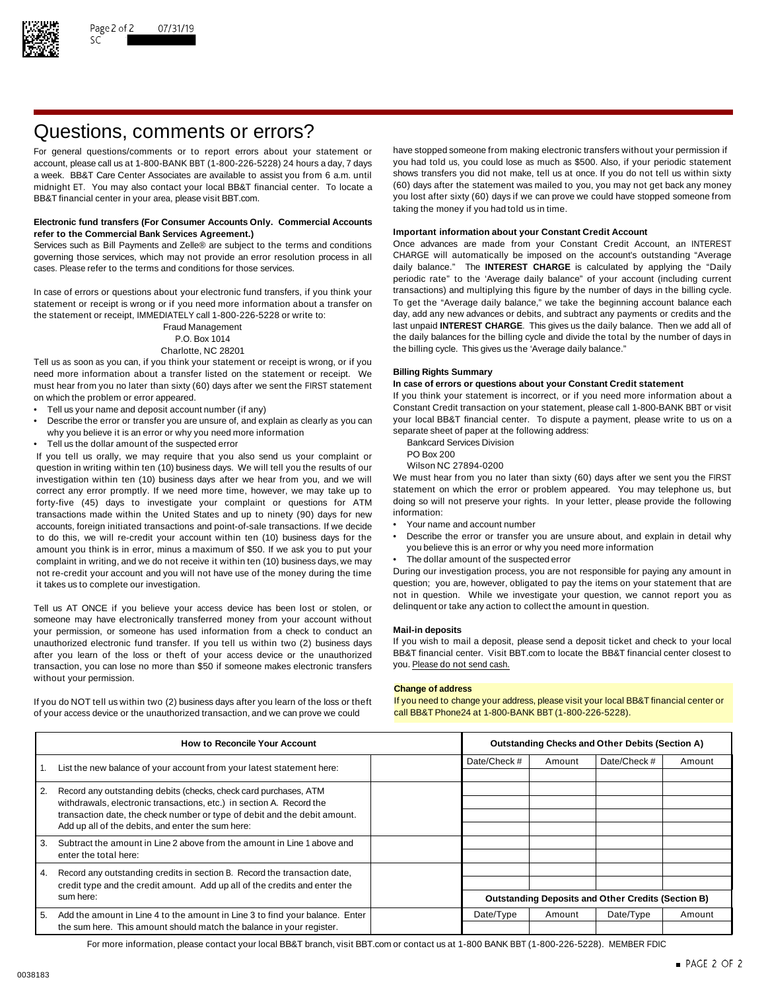

# Questions, comments or errors?

account, please call us at 1-800-BANK BBT (1-800-226-5228) 24 hours a day, 7 days midnight ET. You may also contact your local BB&T financial center. To locate a BB&T financial center in your area, please visit BBT.com. The state of the state of the state of the state of the state of the state of the state of the state of the state of the state of the state of the state of the stat

### **Electronic fund transfers (For Consumer Accounts Only. Commercial Accounts Important information about your Constant Credit Account refer to the Commercial Bank Services Agreement.)**

Services such as Bill Payments and Zelle® are subject to the terms and conditions Once advances are made from your Constant Credit Account, an INTEREST governing those services, which may not provide an error resolution process in all CHARGE will automatically be imposed on the account's outstanding "Average cases. Please refer to the terms and conditions for those services. daily balance." The **INTEREST CHARGE** is calculated by applying the "Daily

statement or receipt is wrong or if you need more information about a transfer on To get the "Average daily balance," we take the beginning account balance each<br>the statement or receipt IMMFDIATFLY call 1-800-226-5228 or w the statement or receipt, IMMEDIATELY call 1-800-226-5228 or write to:

Tell us as soon as you can, if you think your statement or receipt is wrong, or if you need more information about a transfer listed on the statement or receipt. We **Billing Rights Summary** must hear from you no later than sixty (60) days after we sent the FIRST statement on which the problem or error appeared. If you think your statement is incorrect, or if you need more information about a

- 
- Describe the error or transfer you are unsure of, and explain as clearly as you can your local BB&T financial center. To dispute a why you believe it is an error or why you need more information why you believe it is an error or why you need more information<br>Tell us the dollar amount of the suspected error and the following address Division
- Fell us the dollar amount of the suspected error<br>Vou tell us orally we may require that you also send us your complaint or BO Box 200

If you tell us orally, we may require that you also send us your complaint or PO Box 200<br>question in writing within ten (10) business days. We will tell you the results of our Wilson NC 27894-0200 question in writing within ten (10) business days. We will tell you the results of our Wilson NC 27894-0200<br>investigation within ten (10) business days after we hear from you, and we will We must hear from you no later tha investigation within ten (10) business days after we hear from you, and we will We must hear from you no later than sixty (60) days after we sent you the FIRST<br>correct any error promptly. If we need more time, however, we correct any error promptly. If we need more time, however, we may take up to statement on which the error or problem appeared. You may telephone us, but If or the endlowing to the more time, however, we may take up to the forty-five (45) days to investigate your complaint or questions for ATM doing so will<br>transactions made within the United States and up to pinety (90) days for new information: transactions made within the United States and up to ninety (90) days for new information:<br>accounts foreign initiated transactions and point-of-sale transactions. If we decide • Your name and account number accounts, foreign initiated transactions and point-of-sale transactions. If we decide amount you think is in error, minus a maximum of \$50. If we ask you to put your complaint in writing, and we do not receive it within ten (10) business days, we may • The dollar amount of the suspected error not re-credit your account and you will not have use of the money during the time During our investigation process, you are not responsible for paying any amount in

Tell us AT ONCE if you believe your access device has been lost or stolen, or delinquent or take any action to collect the amount in question. someone may have electronically transferred money from your account without your permission, or someone has used information from a check to conduct an **Mail-in deposits** unauthorized electronic fund transfer. If you tell us within two (2) business days If you wish to mail a deposit, please send a deposit ticket and check to your local after vou learn of the loss or theft of your access dev after you learn of the loss or theft of your access device or the unauthorized BB&T financial center. Visit l<br>transaction, you can lose no more than \$50 if someone makes electronic transfers you. Please do not send cash. transaction, you can lose no more than \$50 if someone makes electronic transfers without your permission.

of your access device or the unauthorized transaction, and we can prove we could call BB&T Phone24 at 1-800-BANK BBT (1-800-226-5228).

For general questions/comments or to report errors about your statement or have stopped someone from making electronic transfers without your permission if account please call us at 1-800-BANK BBT (1-800-226-5228) 24 hours a week. BB&T Care Center Associates are available to assist you from 6 a.m. until shows transfers you did not make, tell us at once. If you do not tell us within sixty<br>midnight FT You may also contact your local BB&T finan taking the money if you had told us in time.

periodic rate" to the 'Average daily balance" of your account (including current In case of errors or questions about your electronic fund transfers, if you think your transactions) and multiplying this figure by the number of days in the billing cycle.<br>Statement or receipt is wrong or if you need more Fraud Management last unpaid **INTEREST CHARGE**. This gives us the daily balance. Then we add all of P.O. Box 1014 the daily balances for the billing cycle and divide the total by the number of days in Charlotte, NC 28201 **the billing cycle.** This gives us the 'Average daily balance."

Tell us your name and deposit account number (if any) excluding the constant Credit transaction on your statement, please call 1-800-BANK BBT or visit • Tell us your inclusive to us on a payment, please write to us on a

- 
- 
- 

- 
- to do this, we will re-credit your account within ten (10) business days for the Describe the error or transfer you are unsure about, and explain in detail why<br>amount you think is in error, minus a maximum of \$50. If we
	-

it takes us to complete our investigation. The statement of the statement that are question; you are, however, obligated to pay the items on your statement that are not in question. While we investigate your question, we cannot report you as

### **Change of address**

If you do NOT tell us within two (2) business days after you learn of the loss or theft If you need to change your address, please visit your local BB&T financial center or

| <b>How to Reconcile Your Account</b>                                                                                                                                                                                                                                             |                                                                                                  | <b>Outstanding Checks and Other Debits (Section A)</b> |              |        |                                                           |        |
|----------------------------------------------------------------------------------------------------------------------------------------------------------------------------------------------------------------------------------------------------------------------------------|--------------------------------------------------------------------------------------------------|--------------------------------------------------------|--------------|--------|-----------------------------------------------------------|--------|
|                                                                                                                                                                                                                                                                                  | List the new balance of your account from your latest statement here:                            |                                                        | Date/Check # | Amount | Date/Check #                                              | Amount |
| Record any outstanding debits (checks, check card purchases, ATM<br>2.<br>withdrawals, electronic transactions, etc.) in section A. Record the<br>transaction date, the check number or type of debit and the debit amount.<br>Add up all of the debits, and enter the sum here: |                                                                                                  |                                                        |              |        |                                                           |        |
|                                                                                                                                                                                                                                                                                  |                                                                                                  |                                                        |              |        |                                                           |        |
| 3.                                                                                                                                                                                                                                                                               | Subtract the amount in Line 2 above from the amount in Line 1 above and<br>enter the total here: |                                                        |              |        |                                                           |        |
| 4.                                                                                                                                                                                                                                                                               | Record any outstanding credits in section B. Record the transaction date,                        |                                                        |              |        |                                                           |        |
| sum here:                                                                                                                                                                                                                                                                        | credit type and the credit amount. Add up all of the credits and enter the                       |                                                        |              |        |                                                           |        |
|                                                                                                                                                                                                                                                                                  |                                                                                                  |                                                        |              |        | <b>Outstanding Deposits and Other Credits (Section B)</b> |        |
| 5.                                                                                                                                                                                                                                                                               | Add the amount in Line 4 to the amount in Line 3 to find your balance. Enter                     |                                                        | Date/Type    | Amount | Date/Type                                                 | Amount |
| the sum here. This amount should match the balance in your register.                                                                                                                                                                                                             |                                                                                                  |                                                        |              |        |                                                           |        |

For more information, please contact your local BB&T branch, visit BBT.com or contact us at 1-800 BANK BBT (1-800-226-5228). MEMBER FDIC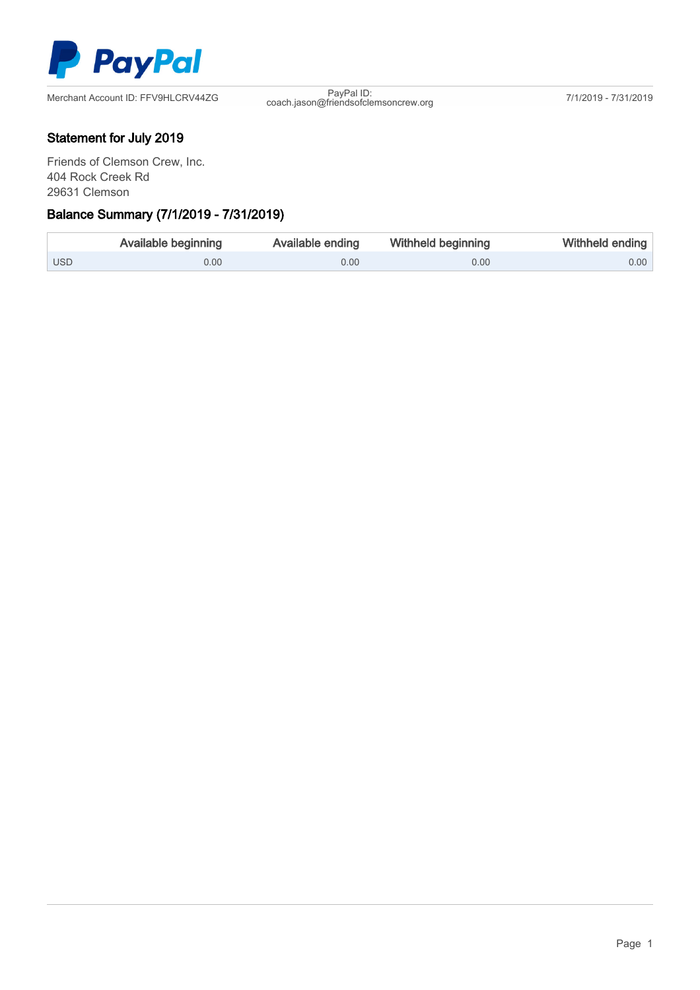

Merchant Account ID: FFV9HLCRV44ZG

coach.jason@friendsofclemsoncrew.org 7/1/2019 - 7/31/2019

## Statement for July 2019

Friends of Clemson Crew, Inc. 404 Rock Creek Rd 29631 Clemson

## Γ Balance Summary (7/1/2019 - 7/31/2019)

|                  | <b>Available beginning</b> | Available ending | <b>Withheld beginning</b> | Withheld ending |
|------------------|----------------------------|------------------|---------------------------|-----------------|
| USD <sup>1</sup> | 0.00                       | 0.00             | 0.00                      | $0.00$          |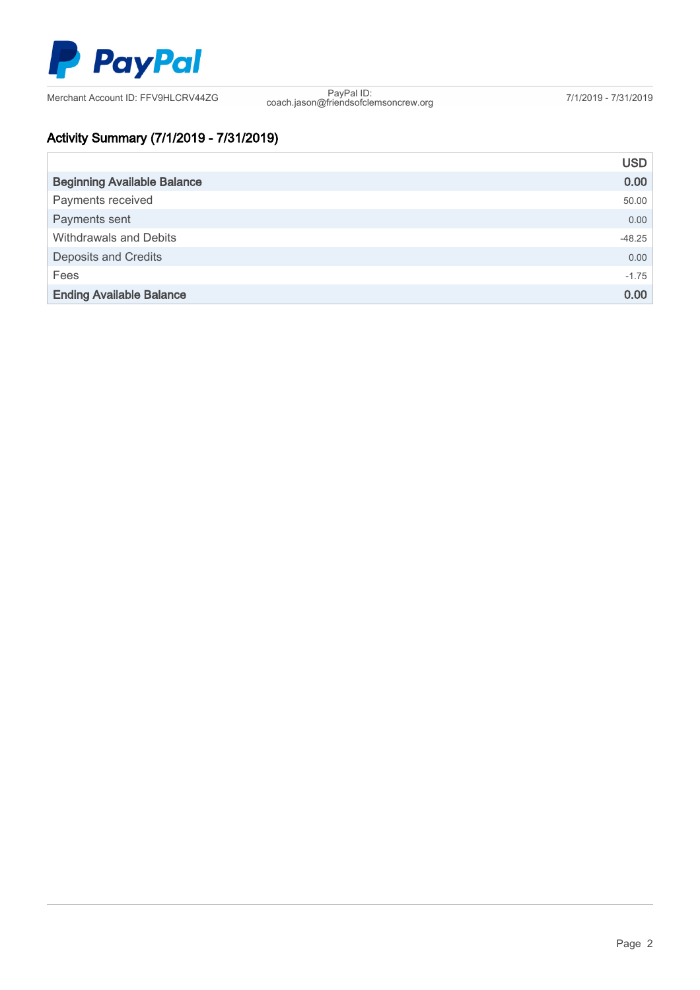

Merchant Account ID: FFV9HLCRV44ZG

coach.jason@friendsofclemsoncrew.org 7/1/2019 - 7/31/2019

# Activity Summary (7/1/2019 - 7/31/2019)

|                                    | <b>USD</b> |
|------------------------------------|------------|
| <b>Beginning Available Balance</b> | 0.00       |
| Payments received                  | 50.00      |
| Payments sent                      | 0.00       |
| Withdrawals and Debits             | $-48.25$   |
| <b>Deposits and Credits</b>        | 0.00       |
| Fees                               | $-1.75$    |
| <b>Ending Available Balance</b>    | 0.00       |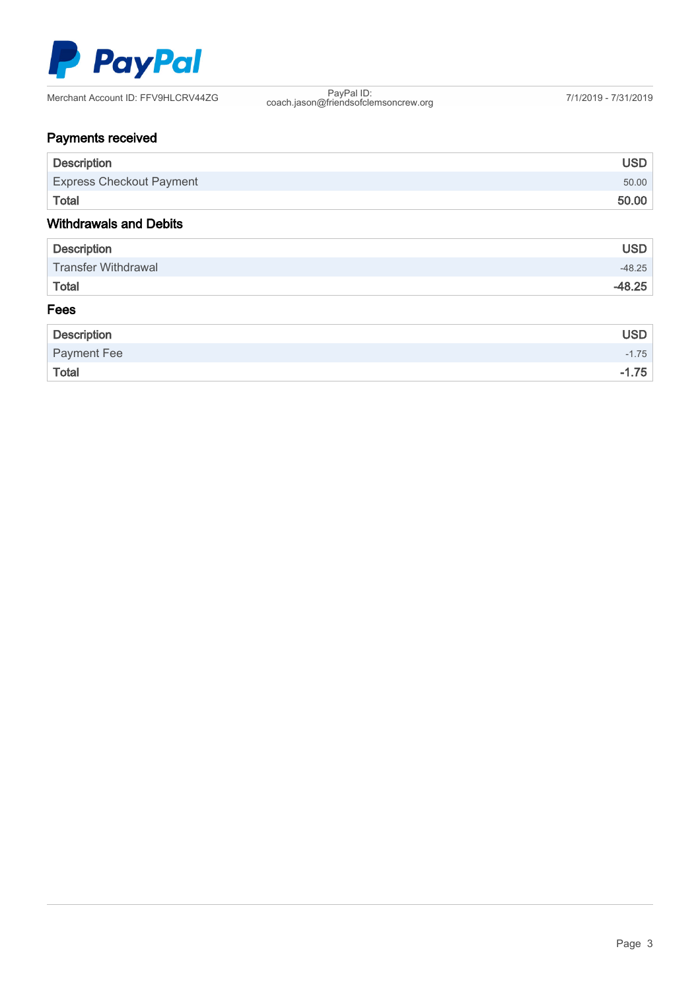

| Merchant Account ID: FFV9HLCRV44ZG | PavPal ID <sup>®</sup><br>coach.jason@friendsofclemsoncrew.org | 7/1/2019 - 7/31/2019 |
|------------------------------------|----------------------------------------------------------------|----------------------|
|------------------------------------|----------------------------------------------------------------|----------------------|

# Payments received

| <b>Description</b>              | <b>USD</b> |
|---------------------------------|------------|
| <b>Express Checkout Payment</b> | 50.00      |
| Total                           | 50.00      |
| <b>Withdrawals and Debits</b>   |            |
| <b>Description</b>              | <b>USD</b> |
| <b>Transfer Withdrawal</b>      | $-48.25$   |
| Total                           | $-48.25$   |
| Fees                            |            |
| <b>Description</b>              | <b>USD</b> |

| Description        | USD.    |
|--------------------|---------|
| <b>Payment Fee</b> | $-1.75$ |
| <b>Total</b>       | $-1.75$ |